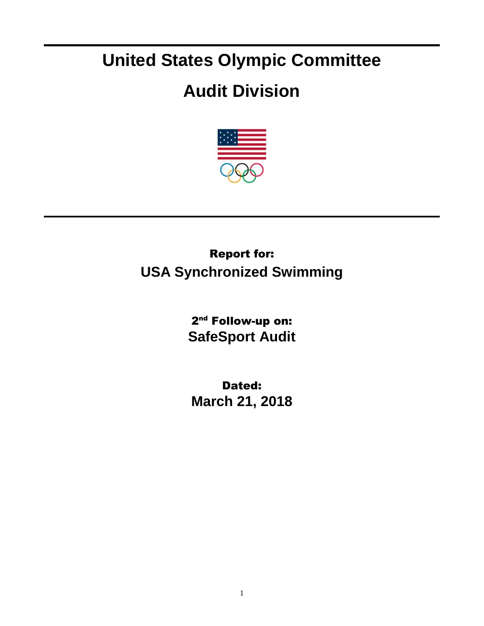# **United States Olympic Committee**

# **Audit Division**



## Report for: **USA Synchronized Swimming**

2<sup>nd</sup> Follow-up on: **SafeSport Audit**

Dated: **March 21, 2018**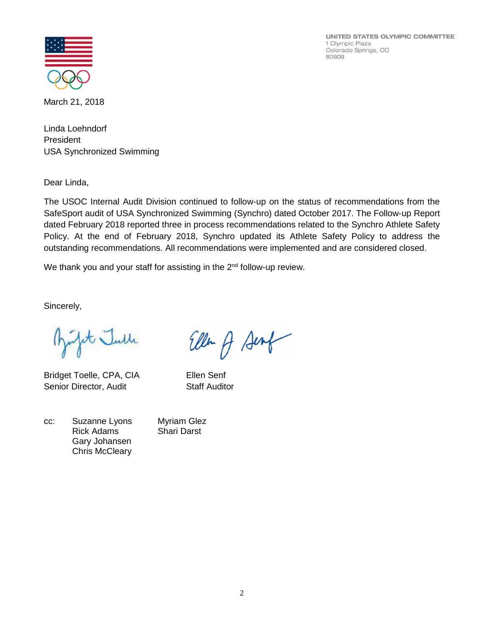UNITED STATES OLYMPIC COMMITTEE 1 Olympic Plaza Colorado Springs, CO 80909



March 21, 2018

Linda Loehndorf President USA Synchronized Swimming

Dear Linda,

The USOC Internal Audit Division continued to follow-up on the status of recommendations from the SafeSport audit of USA Synchronized Swimming (Synchro) dated October 2017. The Follow-up Report dated February 2018 reported three in process recommendations related to the Synchro Athlete Safety Policy. At the end of February 2018, Synchro updated its Athlete Safety Policy to address the outstanding recommendations. All recommendations were implemented and are considered closed.

We thank you and your staff for assisting in the  $2<sup>nd</sup>$  follow-up review.

Sincerely,

pt Julle

Bridget Toelle, CPA, CIA Ellen Senf Senior Director, Audit Staff Auditor

| CC: | Suzanne Lyons         |
|-----|-----------------------|
|     | <b>Rick Adams</b>     |
|     | Gary Johansen         |
|     | <b>Chris McCleary</b> |

Ellen A Senf

Myriam Glez Shari Darst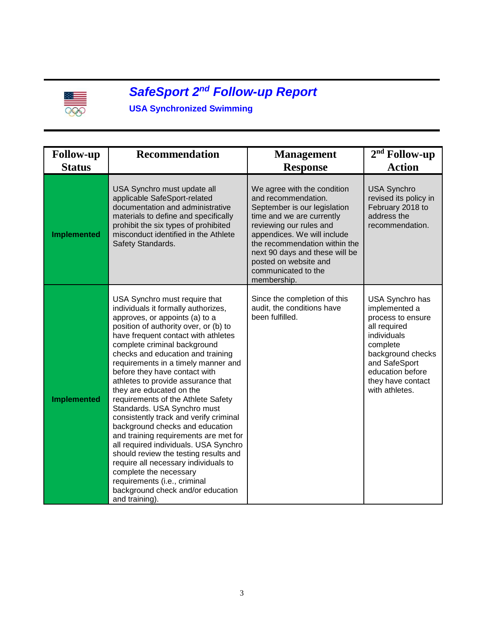

#### *SafeSport 2 nd Follow-up Report*

### **USA Synchronized Swimming**

| <b>Follow-up</b>   | <b>Recommendation</b>                                                                                                                                                                                                                                                                                                                                                                                                                                                                                                                                                                                                                                                                                                                                                                                                                       | <b>Management</b>                                                                                                                                                                                                                                                                                           | $2nd$ Follow-up                                                                                                                                                                                   |
|--------------------|---------------------------------------------------------------------------------------------------------------------------------------------------------------------------------------------------------------------------------------------------------------------------------------------------------------------------------------------------------------------------------------------------------------------------------------------------------------------------------------------------------------------------------------------------------------------------------------------------------------------------------------------------------------------------------------------------------------------------------------------------------------------------------------------------------------------------------------------|-------------------------------------------------------------------------------------------------------------------------------------------------------------------------------------------------------------------------------------------------------------------------------------------------------------|---------------------------------------------------------------------------------------------------------------------------------------------------------------------------------------------------|
| <b>Status</b>      |                                                                                                                                                                                                                                                                                                                                                                                                                                                                                                                                                                                                                                                                                                                                                                                                                                             | <b>Response</b>                                                                                                                                                                                                                                                                                             | <b>Action</b>                                                                                                                                                                                     |
| <b>Implemented</b> | USA Synchro must update all<br>applicable SafeSport-related<br>documentation and administrative<br>materials to define and specifically<br>prohibit the six types of prohibited<br>misconduct identified in the Athlete<br>Safety Standards.                                                                                                                                                                                                                                                                                                                                                                                                                                                                                                                                                                                                | We agree with the condition<br>and recommendation.<br>September is our legislation<br>time and we are currently<br>reviewing our rules and<br>appendices. We will include<br>the recommendation within the<br>next 90 days and these will be<br>posted on website and<br>communicated to the<br>membership. | <b>USA Synchro</b><br>revised its policy in<br>February 2018 to<br>address the<br>recommendation.                                                                                                 |
| <b>Implemented</b> | USA Synchro must require that<br>individuals it formally authorizes,<br>approves, or appoints (a) to a<br>position of authority over, or (b) to<br>have frequent contact with athletes<br>complete criminal background<br>checks and education and training<br>requirements in a timely manner and<br>before they have contact with<br>athletes to provide assurance that<br>they are educated on the<br>requirements of the Athlete Safety<br>Standards. USA Synchro must<br>consistently track and verify criminal<br>background checks and education<br>and training requirements are met for<br>all required individuals. USA Synchro<br>should review the testing results and<br>require all necessary individuals to<br>complete the necessary<br>requirements (i.e., criminal<br>background check and/or education<br>and training). | Since the completion of this<br>audit, the conditions have<br>been fulfilled.                                                                                                                                                                                                                               | USA Synchro has<br>implemented a<br>process to ensure<br>all required<br>individuals<br>complete<br>background checks<br>and SafeSport<br>education before<br>they have contact<br>with athletes. |